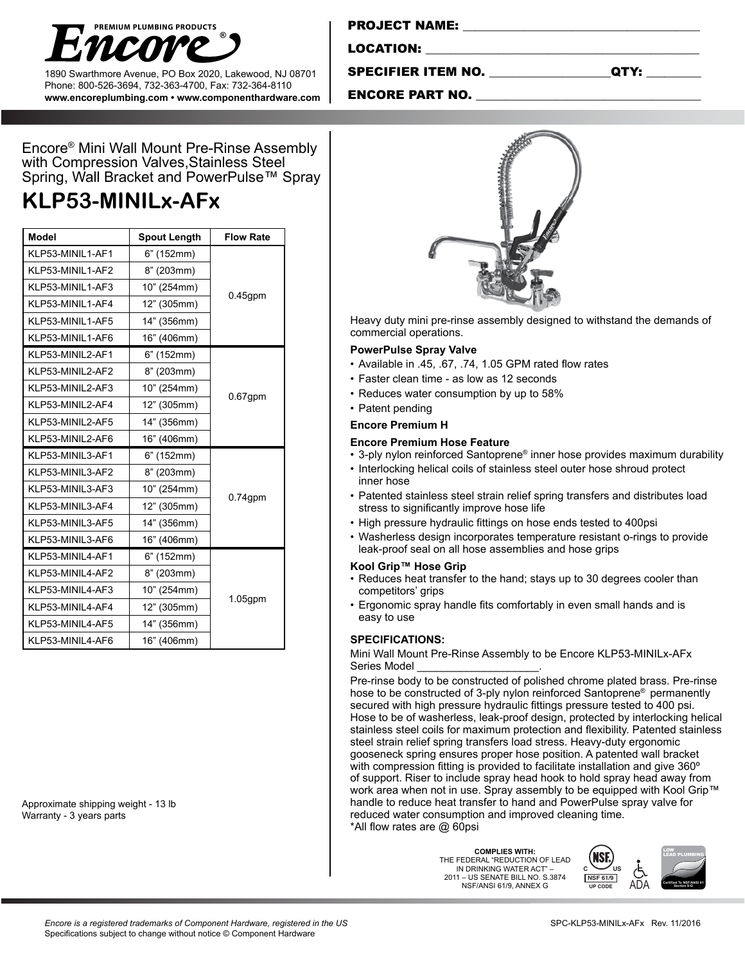

1890 Swarthmore Avenue, PO Box 2020, Lakewood, NJ 08701 Phone: 800-526-3694, 732-363-4700, Fax: 732-364-8110 **www.encoreplumbing.com • www.componenthardware.com**

| <b>PROJECT NAME:</b> |  |
|----------------------|--|
|                      |  |

LOCATION:

SPECIFIER ITEM NO. \_\_\_\_\_\_\_\_\_\_\_\_\_\_\_\_\_\_\_\_QTY: \_\_\_\_\_\_\_\_\_

### ENCORE PART NO.

Encore® Mini Wall Mount Pre-Rinse Assembly with Compression Valves,Stainless Steel Spring, Wall Bracket and PowerPulse™ Spray

# **KLP53-MINILx-AFx**

| <b>Model</b>                   | <b>Spout Length</b> | <b>Flow Rate</b> |  |
|--------------------------------|---------------------|------------------|--|
| KLP53-MINIL1-AF1               | 6" (152mm)          | $0.45$ gpm       |  |
| KLP53-MINIL1-AF2               | 8" (203mm)          |                  |  |
| KLP53-MINIL1-AF3               | 10" (254mm)         |                  |  |
| KLP53-MINIL1-AF4               | 12" (305mm)         |                  |  |
| KLP53-MINIL1-AF5               | 14" (356mm)         |                  |  |
| KLP53-MINIL1-AF6               | 16" (406mm)         |                  |  |
| KLP53-MINIL2-AF1               | 6" (152mm)          | $0.67$ gpm       |  |
| KLP53-MINIL2-AF2               | 8" (203mm)          |                  |  |
| KLP53-MINIL2-AF3               | 10" (254mm)         |                  |  |
| KLP53-MINIL2-AF4               | 12" (305mm)         |                  |  |
| KLP53-MINIL2-AF5               | 14" (356mm)         |                  |  |
| KLP53-MINIL2-AF6               | 16" (406mm)         |                  |  |
| KLP53-MINIL3-AF1<br>6" (152mm) |                     |                  |  |
| KLP53-MINIL3-AF2               | 8" (203mm)          | $0.74$ gpm       |  |
| KLP53-MINIL3-AF3               | 10" (254mm)         |                  |  |
| KLP53-MINIL3-AF4               | 12" (305mm)         |                  |  |
| KLP53-MINIL3-AF5               | 14" (356mm)         |                  |  |
| KLP53-MINIL3-AF6               | 16" (406mm)         |                  |  |
| KLP53-MINIL4-AF1               | 6" (152mm)          |                  |  |
| KLP53-MINIL4-AF2               | 8" (203mm)          | $1.05$ gpm       |  |
| KLP53-MINIL4-AF3               | 10" (254mm)         |                  |  |
| KLP53-MINIL4-AF4               | 12" (305mm)         |                  |  |
| KLP53-MINIL4-AF5               | 14" (356mm)         |                  |  |
| KLP53-MINIL4-AF6               | 16" (406mm)         |                  |  |

Approximate shipping weight - 13 lb Warranty - 3 years parts



Heavy duty mini pre-rinse assembly designed to withstand the demands of commercial operations.

#### **PowerPulse Spray Valve**

- Available in .45, .67, .74, 1.05 GPM rated flow rates
- Faster clean time as low as 12 seconds
- Reduces water consumption by up to 58%
- Patent pending

## **Encore Premium H**

#### **Encore Premium Hose Feature**

- 3-ply nylon reinforced Santoprene® inner hose provides maximum durability
- Interlocking helical coils of stainless steel outer hose shroud protect inner hose
- Patented stainless steel strain relief spring transfers and distributes load stress to significantly improve hose life
- High pressure hydraulic fittings on hose ends tested to 400psi
- Washerless design incorporates temperature resistant o-rings to provide leak-proof seal on all hose assemblies and hose grips

#### **Kool Grip™ Hose Grip**

- Reduces heat transfer to the hand; stays up to 30 degrees cooler than competitors' grips
- Ergonomic spray handle fits comfortably in even small hands and is easy to use

#### **SPECIFICATIONS:**

#### Mini Wall Mount Pre-Rinse Assembly to be Encore KLP53-MINILx-AFx Series Model

Pre-rinse body to be constructed of polished chrome plated brass. Pre-rinse hose to be constructed of 3-ply nylon reinforced Santoprene® permanently secured with high pressure hydraulic fittings pressure tested to 400 psi. Hose to be of washerless, leak-proof design, protected by interlocking helical stainless steel coils for maximum protection and flexibility. Patented stainless steel strain relief spring transfers load stress. Heavy-duty ergonomic gooseneck spring ensures proper hose position. A patented wall bracket with compression fitting is provided to facilitate installation and give 360<sup>°</sup> of support. Riser to include spray head hook to hold spray head away from work area when not in use. Spray assembly to be equipped with Kool Grip™ handle to reduce heat transfer to hand and PowerPulse spray valve for reduced water consumption and improved cleaning time. \*All flow rates are @ 60psi

> **COMPLIES WITH:** THE FEDERAL "REDUCTION OF LEAD IN DRINKING WATER ACT" – 2011 – US SENATE BILL NO. S.3874 NSF/ANSI 61/9, ANNEX G